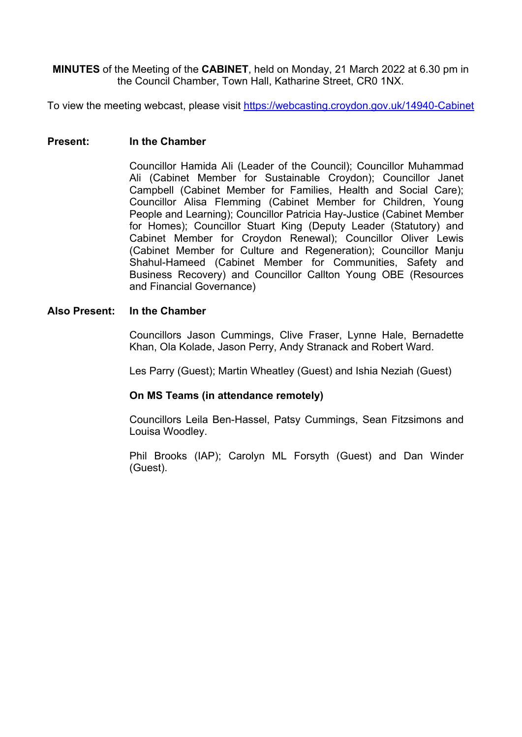**MINUTES** of the Meeting of the **CABINET**, held on Monday, 21 March 2022 at 6.30 pm in the Council Chamber, Town Hall, Katharine Street, CR0 1NX.

To view the meeting webcast, please visit <https://webcasting.croydon.gov.uk/14940-Cabinet>

#### **Present: In the Chamber**

Councillor Hamida Ali (Leader of the Council); Councillor Muhammad Ali (Cabinet Member for Sustainable Croydon); Councillor Janet Campbell (Cabinet Member for Families, Health and Social Care); Councillor Alisa Flemming (Cabinet Member for Children, Young People and Learning); Councillor Patricia Hay-Justice (Cabinet Member for Homes); Councillor Stuart King (Deputy Leader (Statutory) and Cabinet Member for Croydon Renewal); Councillor Oliver Lewis (Cabinet Member for Culture and Regeneration); Councillor Manju Shahul-Hameed (Cabinet Member for Communities, Safety and Business Recovery) and Councillor Callton Young OBE (Resources and Financial Governance)

#### **Also Present: In the Chamber**

Councillors Jason Cummings, Clive Fraser, Lynne Hale, Bernadette Khan, Ola Kolade, Jason Perry, Andy Stranack and Robert Ward.

Les Parry (Guest); Martin Wheatley (Guest) and Ishia Neziah (Guest)

# **On MS Teams (in attendance remotely)**

Councillors Leila Ben-Hassel, Patsy Cummings, Sean Fitzsimons and Louisa Woodley.

Phil Brooks (IAP); Carolyn ML Forsyth (Guest) and Dan Winder (Guest).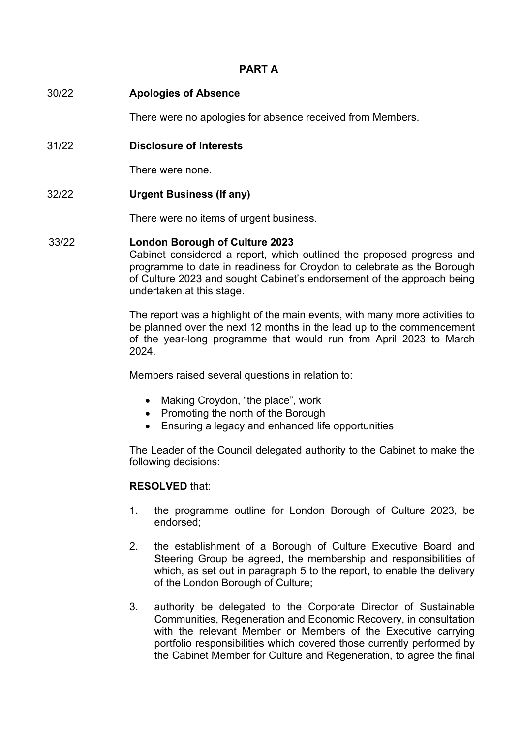# **PART A**

|       | There were no apologies for absence received from Members.                                                                                                                               |
|-------|------------------------------------------------------------------------------------------------------------------------------------------------------------------------------------------|
| 31/22 | <b>Disclosure of Interests</b>                                                                                                                                                           |
|       | There were none.                                                                                                                                                                         |
| 32/22 | <b>Urgent Business (If any)</b>                                                                                                                                                          |
|       | There were no items of urgent business.                                                                                                                                                  |
| 33/22 | <b>London Borough of Culture 2023</b><br>Cabinet considered a report, which outlined the proposed progress and<br>programme to date in readiness for Croydon to celebrate as the Borough |

ainess for Croydon to celebrate as the Borough of Culture 2023 and sought Cabinet's endorsement of the approach being undertaken at this stage.

The report was a highlight of the main events, with many more activities to be planned over the next 12 months in the lead up to the commencement of the year-long programme that would run from April 2023 to March 2024.

Members raised several questions in relation to:

- Making Crovdon, "the place", work
- Promoting the north of the Borough
- Ensuring a legacy and enhanced life opportunities

The Leader of the Council delegated authority to the Cabinet to make the following decisions:

# **RESOLVED** that:

30/22 **Apologies of Absence** 

- 1. the programme outline for London Borough of Culture 2023, be endorsed;
- 2. the establishment of a Borough of Culture Executive Board and Steering Group be agreed, the membership and responsibilities of which, as set out in paragraph 5 to the report, to enable the delivery of the London Borough of Culture;
- 3. authority be delegated to the Corporate Director of Sustainable Communities, Regeneration and Economic Recovery, in consultation with the relevant Member or Members of the Executive carrying portfolio responsibilities which covered those currently performed by the Cabinet Member for Culture and Regeneration, to agree the final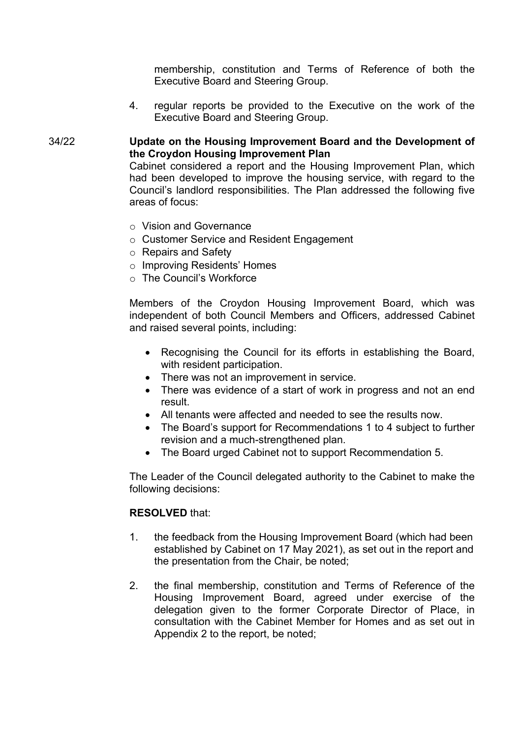membership, constitution and Terms of Reference of both the Executive Board and Steering Group.

4. regular reports be provided to the Executive on the work of the Executive Board and Steering Group.

# 34/22 **Update on the Housing Improvement Board and the Development of the Croydon Housing Improvement Plan**

Cabinet considered a report and the Housing Improvement Plan, which had been developed to improve the housing service, with regard to the Council's landlord responsibilities. The Plan addressed the following five areas of focus:

- o Vision and Governance
- o Customer Service and Resident Engagement
- o Repairs and Safety
- o Improving Residents' Homes
- o The Council's Workforce

Members of the Croydon Housing Improvement Board, which was independent of both Council Members and Officers, addressed Cabinet and raised several points, including:

- Recognising the Council for its efforts in establishing the Board, with resident participation.
- There was not an improvement in service.
- There was evidence of a start of work in progress and not an end result.
- All tenants were affected and needed to see the results now.
- The Board's support for Recommendations 1 to 4 subject to further revision and a much-strengthened plan.
- The Board urged Cabinet not to support Recommendation 5.

The Leader of the Council delegated authority to the Cabinet to make the following decisions:

## **RESOLVED** that:

- 1. the feedback from the Housing Improvement Board (which had been established by Cabinet on 17 May 2021), as set out in the report and the presentation from the Chair, be noted;
- 2. the final membership, constitution and Terms of Reference of the Housing Improvement Board, agreed under exercise of the delegation given to the former Corporate Director of Place, in consultation with the Cabinet Member for Homes and as set out in Appendix 2 to the report, be noted;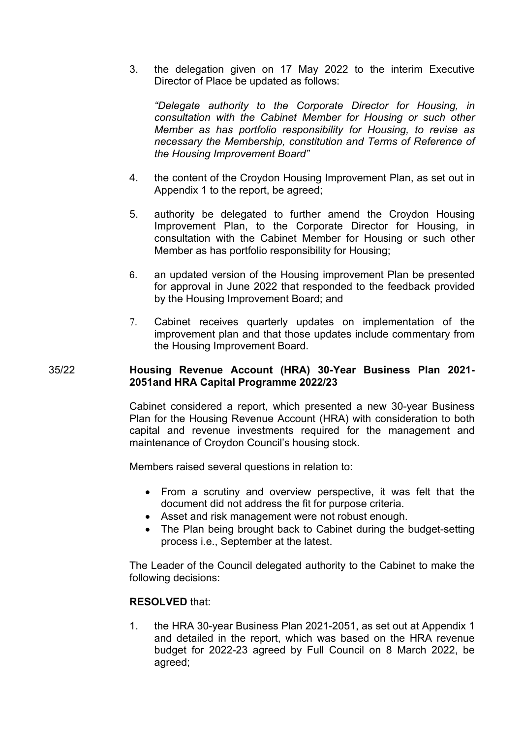3. the delegation given on 17 May 2022 to the interim Executive Director of Place be updated as follows:

*"Delegate authority to the Corporate Director for Housing, in consultation with the Cabinet Member for Housing or such other Member as has portfolio responsibility for Housing, to revise as necessary the Membership, constitution and Terms of Reference of the Housing Improvement Board"*

- 4. the content of the Croydon Housing Improvement Plan, as set out in Appendix 1 to the report, be agreed;
- 5. authority be delegated to further amend the Croydon Housing Improvement Plan, to the Corporate Director for Housing, in consultation with the Cabinet Member for Housing or such other Member as has portfolio responsibility for Housing;
- 6. an updated version of the Housing improvement Plan be presented for approval in June 2022 that responded to the feedback provided by the Housing Improvement Board; and
- 7. Cabinet receives quarterly updates on implementation of the improvement plan and that those updates include commentary from the Housing Improvement Board.

# 35/22 **Housing Revenue Account (HRA) 30-Year Business Plan 2021- 2051and HRA Capital Programme 2022/23**

Cabinet considered a report, which presented a new 30-year Business Plan for the Housing Revenue Account (HRA) with consideration to both capital and revenue investments required for the management and maintenance of Croydon Council's housing stock.

Members raised several questions in relation to:

- From a scrutiny and overview perspective, it was felt that the document did not address the fit for purpose criteria.
- Asset and risk management were not robust enough.
- The Plan being brought back to Cabinet during the budget-setting process i.e., September at the latest.

The Leader of the Council delegated authority to the Cabinet to make the following decisions:

## **RESOLVED** that:

1. the HRA 30-year Business Plan 2021-2051, as set out at Appendix 1 and detailed in the report, which was based on the HRA revenue budget for 2022-23 agreed by Full Council on 8 March 2022, be agreed;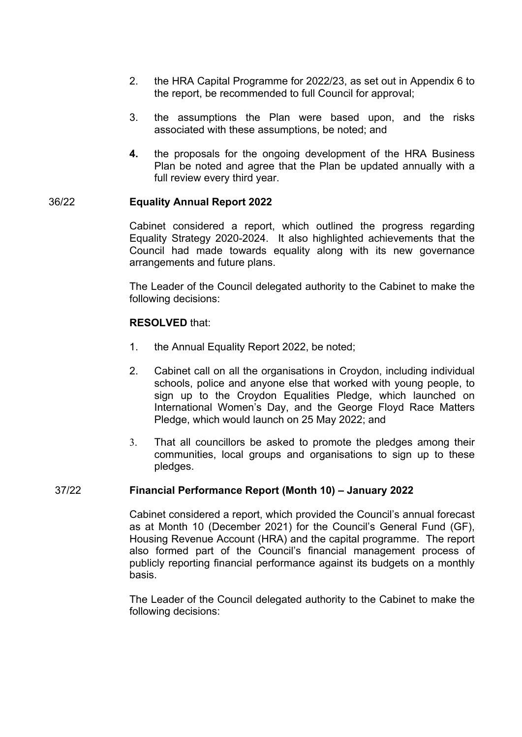- 2. the HRA Capital Programme for 2022/23, as set out in Appendix 6 to the report, be recommended to full Council for approval;
- 3. the assumptions the Plan were based upon, and the risks associated with these assumptions, be noted; and
- **4.** the proposals for the ongoing development of the HRA Business Plan be noted and agree that the Plan be updated annually with a full review every third year.

# 36/22 **Equality Annual Report 2022**

Cabinet considered a report, which outlined the progress regarding Equality Strategy 2020-2024. It also highlighted achievements that the Council had made towards equality along with its new governance arrangements and future plans.

The Leader of the Council delegated authority to the Cabinet to make the following decisions:

## **RESOLVED** that:

- 1. the Annual Equality Report 2022, be noted;
- 2. Cabinet call on all the organisations in Croydon, including individual schools, police and anyone else that worked with young people, to sign up to the Croydon Equalities Pledge, which launched on International Women's Day, and the George Floyd Race Matters Pledge, which would launch on 25 May 2022; and
- 3. That all councillors be asked to promote the pledges among their communities, local groups and organisations to sign up to these pledges.

## 37/22 **Financial Performance Report (Month 10) – January 2022**

Cabinet considered a report, which provided the Council's annual forecast as at Month 10 (December 2021) for the Council's General Fund (GF), Housing Revenue Account (HRA) and the capital programme. The report also formed part of the Council's financial management process of publicly reporting financial performance against its budgets on a monthly basis.

The Leader of the Council delegated authority to the Cabinet to make the following decisions: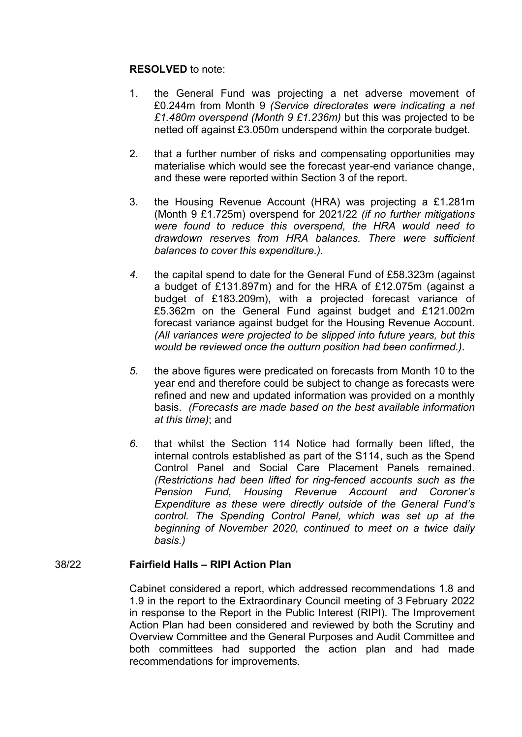# **RESOLVED** to note:

- 1. the General Fund was projecting a net adverse movement of £0.244m from Month 9 *(Service directorates were indicating a net £1.480m overspend (Month 9 £1.236m)* but this was projected to be netted off against £3.050m underspend within the corporate budget.
- 2. that a further number of risks and compensating opportunities may materialise which would see the forecast year-end variance change, and these were reported within Section 3 of the report.
- 3. the Housing Revenue Account (HRA) was projecting a £1.281m (Month 9 £1.725m) overspend for 2021/22 *(if no further mitigations were found to reduce this overspend, the HRA would need to drawdown reserves from HRA balances. There were sufficient balances to cover this expenditure.)*.
- *4.* the capital spend to date for the General Fund of £58.323m (against a budget of £131.897m) and for the HRA of £12.075m (against a budget of £183.209m), with a projected forecast variance of £5.362m on the General Fund against budget and £121.002m forecast variance against budget for the Housing Revenue Account. *(All variances were projected to be slipped into future years, but this would be reviewed once the outturn position had been confirmed.)*.
- *5.* the above figures were predicated on forecasts from Month 10 to the year end and therefore could be subject to change as forecasts were refined and new and updated information was provided on a monthly basis. *(Forecasts are made based on the best available information at this time)*; and
- *6.* that whilst the Section 114 Notice had formally been lifted, the internal controls established as part of the S114, such as the Spend Control Panel and Social Care Placement Panels remained. *(Restrictions had been lifted for ring-fenced accounts such as the Pension Fund, Housing Revenue Account and Coroner's Expenditure as these were directly outside of the General Fund's control. The Spending Control Panel, which was set up at the beginning of November 2020, continued to meet on a twice daily basis.)*

# 38/22 **Fairfield Halls – RIPI Action Plan**

Cabinet considered a report, which addressed recommendations 1.8 and 1.9 in the report to the Extraordinary Council meeting of 3 February 2022 in response to the Report in the Public Interest (RIPI). The Improvement Action Plan had been considered and reviewed by both the Scrutiny and Overview Committee and the General Purposes and Audit Committee and both committees had supported the action plan and had made recommendations for improvements.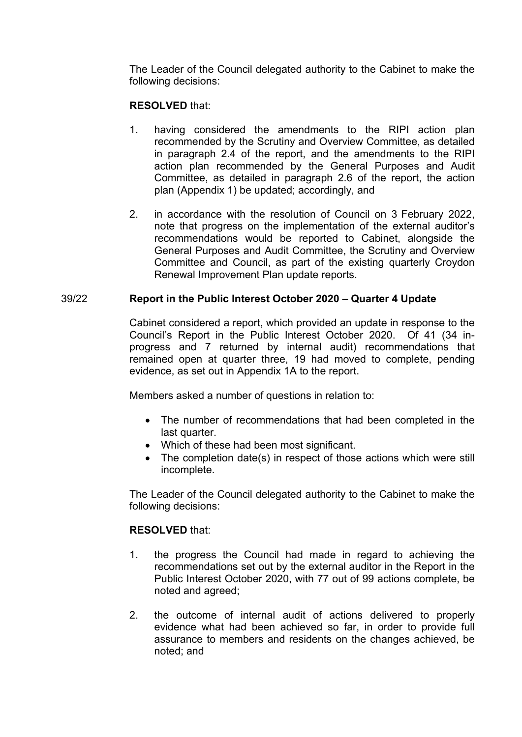The Leader of the Council delegated authority to the Cabinet to make the following decisions:

# **RESOLVED** that:

- 1. having considered the amendments to the RIPI action plan recommended by the Scrutiny and Overview Committee, as detailed in paragraph 2.4 of the report, and the amendments to the RIPI action plan recommended by the General Purposes and Audit Committee, as detailed in paragraph 2.6 of the report, the action plan (Appendix 1) be updated; accordingly, and
- 2. in accordance with the resolution of Council on 3 February 2022, note that progress on the implementation of the external auditor's recommendations would be reported to Cabinet, alongside the General Purposes and Audit Committee, the Scrutiny and Overview Committee and Council, as part of the existing quarterly Croydon Renewal Improvement Plan update reports.

# 39/22 **Report in the Public Interest October 2020 – Quarter 4 Update**

Cabinet considered a report, which provided an update in response to the Council's Report in the Public Interest October 2020. Of 41 (34 inprogress and 7 returned by internal audit) recommendations that remained open at quarter three, 19 had moved to complete, pending evidence, as set out in Appendix 1A to the report.

Members asked a number of questions in relation to:

- The number of recommendations that had been completed in the last quarter.
- Which of these had been most significant.
- The completion date(s) in respect of those actions which were still incomplete.

The Leader of the Council delegated authority to the Cabinet to make the following decisions:

## **RESOLVED** that:

- 1. the progress the Council had made in regard to achieving the recommendations set out by the external auditor in the Report in the Public Interest October 2020, with 77 out of 99 actions complete, be noted and agreed;
- 2. the outcome of internal audit of actions delivered to properly evidence what had been achieved so far, in order to provide full assurance to members and residents on the changes achieved, be noted; and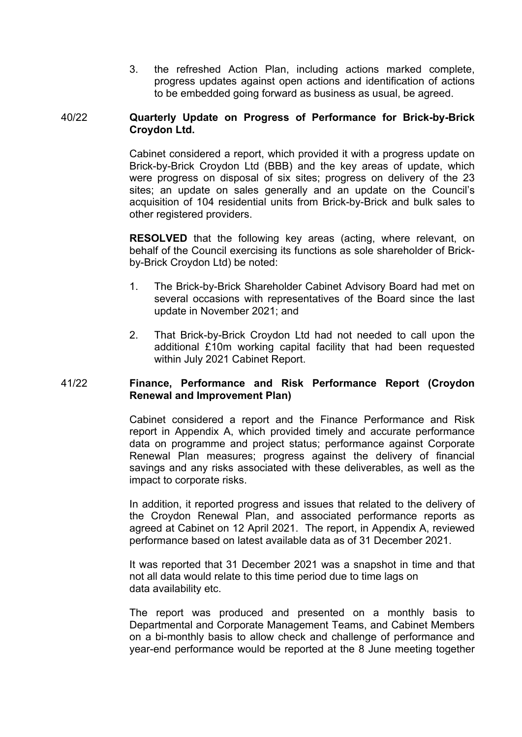3. the refreshed Action Plan, including actions marked complete, progress updates against open actions and identification of actions to be embedded going forward as business as usual, be agreed.

# 40/22 **Quarterly Update on Progress of Performance for Brick-by-Brick Croydon Ltd.**

Cabinet considered a report, which provided it with a progress update on Brick-by-Brick Croydon Ltd (BBB) and the key areas of update, which were progress on disposal of six sites; progress on delivery of the 23 sites; an update on sales generally and an update on the Council's acquisition of 104 residential units from Brick-by-Brick and bulk sales to other registered providers.

**RESOLVED** that the following key areas (acting, where relevant, on behalf of the Council exercising its functions as sole shareholder of Brickby-Brick Croydon Ltd) be noted:

- 1. The Brick-by-Brick Shareholder Cabinet Advisory Board had met on several occasions with representatives of the Board since the last update in November 2021; and
- 2. That Brick-by-Brick Croydon Ltd had not needed to call upon the additional £10m working capital facility that had been requested within July 2021 Cabinet Report.

# 41/22 **Finance, Performance and Risk Performance Report (Croydon Renewal and Improvement Plan)**

Cabinet considered a report and the Finance Performance and Risk report in Appendix A, which provided timely and accurate performance data on programme and project status; performance against Corporate Renewal Plan measures; progress against the delivery of financial savings and any risks associated with these deliverables, as well as the impact to corporate risks.

In addition, it reported progress and issues that related to the delivery of the Croydon Renewal Plan, and associated performance reports as agreed at Cabinet on 12 April 2021. The report, in Appendix A, reviewed performance based on latest available data as of 31 December 2021.

It was reported that 31 December 2021 was a snapshot in time and that not all data would relate to this time period due to time lags on data availability etc.

The report was produced and presented on a monthly basis to Departmental and Corporate Management Teams, and Cabinet Members on a bi-monthly basis to allow check and challenge of performance and year-end performance would be reported at the 8 June meeting together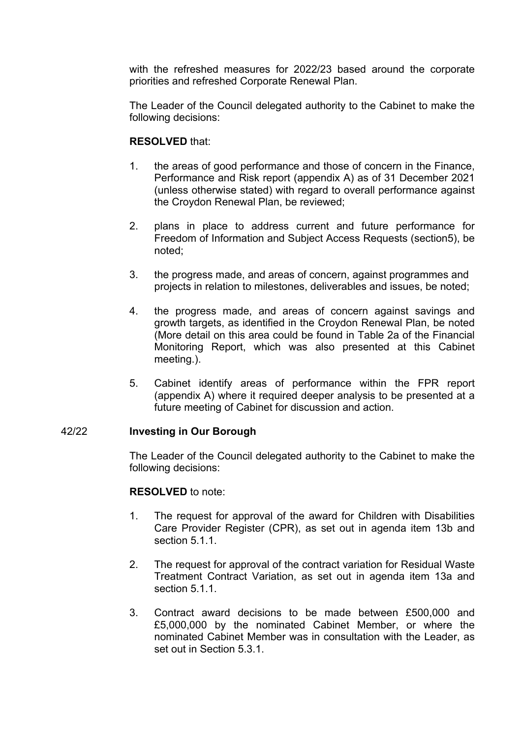with the refreshed measures for 2022/23 based around the corporate priorities and refreshed Corporate Renewal Plan.

The Leader of the Council delegated authority to the Cabinet to make the following decisions:

# **RESOLVED** that:

- 1. the areas of good performance and those of concern in the Finance, Performance and Risk report (appendix A) as of 31 December 2021 (unless otherwise stated) with regard to overall performance against the Croydon Renewal Plan, be reviewed;
- 2. plans in place to address current and future performance for Freedom of Information and Subject Access Requests (section5), be noted;
- 3. the progress made, and areas of concern, against programmes and projects in relation to milestones, deliverables and issues, be noted;
- 4. the progress made, and areas of concern against savings and growth targets, as identified in the Croydon Renewal Plan, be noted (More detail on this area could be found in Table 2a of the Financial Monitoring Report, which was also presented at this Cabinet meeting.).
- 5. Cabinet identify areas of performance within the FPR report (appendix A) where it required deeper analysis to be presented at a future meeting of Cabinet for discussion and action.

## 42/22 **Investing in Our Borough**

The Leader of the Council delegated authority to the Cabinet to make the following decisions:

## **RESOLVED** to note:

- 1. The request for approval of the award for Children with Disabilities Care Provider Register (CPR), as set out in agenda item 13b and section 5.1.1.
- 2. The request for approval of the contract variation for Residual Waste Treatment Contract Variation, as set out in agenda item 13a and section 5.1.1.
- 3. Contract award decisions to be made between £500,000 and £5,000,000 by the nominated Cabinet Member, or where the nominated Cabinet Member was in consultation with the Leader, as set out in Section 5.3.1.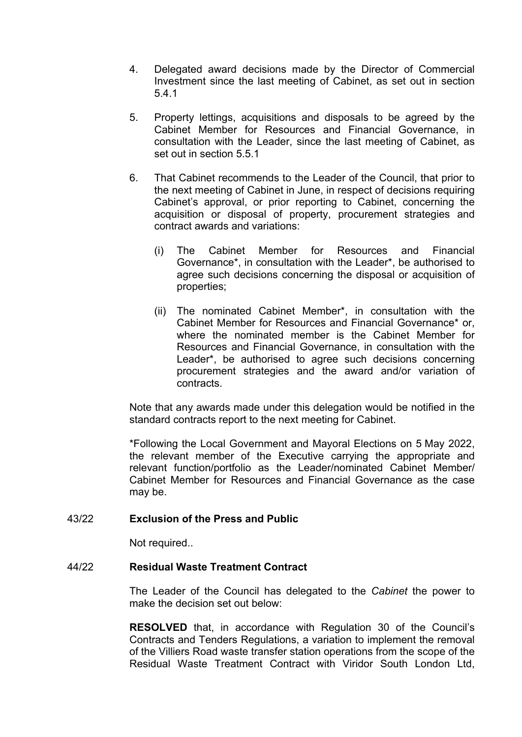- 4. Delegated award decisions made by the Director of Commercial Investment since the last meeting of Cabinet, as set out in section 5.4.1
- 5. Property lettings, acquisitions and disposals to be agreed by the Cabinet Member for Resources and Financial Governance, in consultation with the Leader, since the last meeting of Cabinet, as set out in section 5.5.1
- 6. That Cabinet recommends to the Leader of the Council, that prior to the next meeting of Cabinet in June, in respect of decisions requiring Cabinet's approval, or prior reporting to Cabinet, concerning the acquisition or disposal of property, procurement strategies and contract awards and variations:
	- (i) The Cabinet Member for Resources and Financial Governance\*, in consultation with the Leader\*, be authorised to agree such decisions concerning the disposal or acquisition of properties;
	- (ii) The nominated Cabinet Member\*, in consultation with the Cabinet Member for Resources and Financial Governance\* or, where the nominated member is the Cabinet Member for Resources and Financial Governance, in consultation with the Leader\*, be authorised to agree such decisions concerning procurement strategies and the award and/or variation of contracts.

Note that any awards made under this delegation would be notified in the standard contracts report to the next meeting for Cabinet.

\*Following the Local Government and Mayoral Elections on 5 May 2022, the relevant member of the Executive carrying the appropriate and relevant function/portfolio as the Leader/nominated Cabinet Member/ Cabinet Member for Resources and Financial Governance as the case may be.

# 43/22 **Exclusion of the Press and Public**

Not required..

# 44/22 **Residual Waste Treatment Contract**

The Leader of the Council has delegated to the *Cabinet* the power to make the decision set out below:

**RESOLVED** that, in accordance with Regulation 30 of the Council's Contracts and Tenders Regulations, a variation to implement the removal of the Villiers Road waste transfer station operations from the scope of the Residual Waste Treatment Contract with Viridor South London Ltd,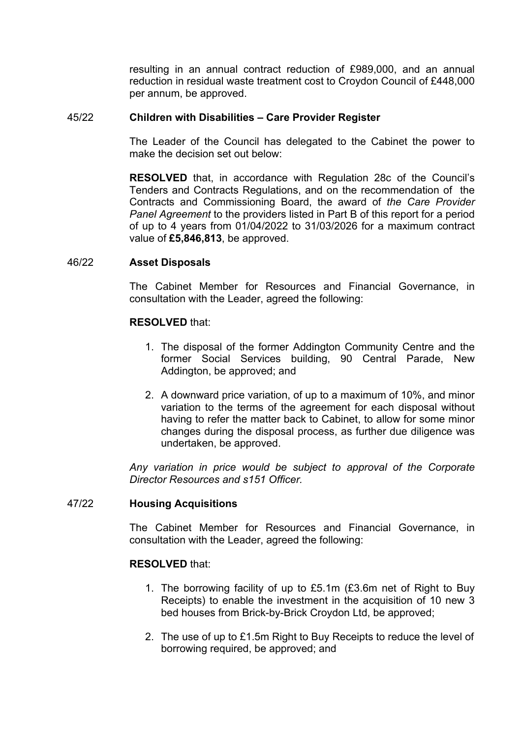resulting in an annual contract reduction of £989,000, and an annual reduction in residual waste treatment cost to Croydon Council of £448,000 per annum, be approved.

# 45/22 **Children with Disabilities – Care Provider Register**

The Leader of the Council has delegated to the Cabinet the power to make the decision set out below:

**RESOLVED** that, in accordance with Regulation 28c of the Council's Tenders and Contracts Regulations, and on the recommendation of the Contracts and Commissioning Board, the award of *the Care Provider Panel Agreement* to the providers listed in Part B of this report for a period of up to 4 years from 01/04/2022 to 31/03/2026 for a maximum contract value of **£5,846,813**, be approved.

# 46/22 **Asset Disposals**

The Cabinet Member for Resources and Financial Governance, in consultation with the Leader, agreed the following:

# **RESOLVED** that:

- 1. The disposal of the former Addington Community Centre and the former Social Services building, 90 Central Parade, New Addington, be approved; and
- 2. A downward price variation, of up to a maximum of 10%, and minor variation to the terms of the agreement for each disposal without having to refer the matter back to Cabinet, to allow for some minor changes during the disposal process, as further due diligence was undertaken, be approved.

*Any variation in price would be subject to approval of the Corporate Director Resources and s151 Officer.*

## 47/22 **Housing Acquisitions**

The Cabinet Member for Resources and Financial Governance, in consultation with the Leader, agreed the following:

## **RESOLVED** that:

- 1. The borrowing facility of up to £5.1m (£3.6m net of Right to Buy Receipts) to enable the investment in the acquisition of 10 new 3 bed houses from Brick-by-Brick Croydon Ltd, be approved;
- 2. The use of up to £1.5m Right to Buy Receipts to reduce the level of borrowing required, be approved; and